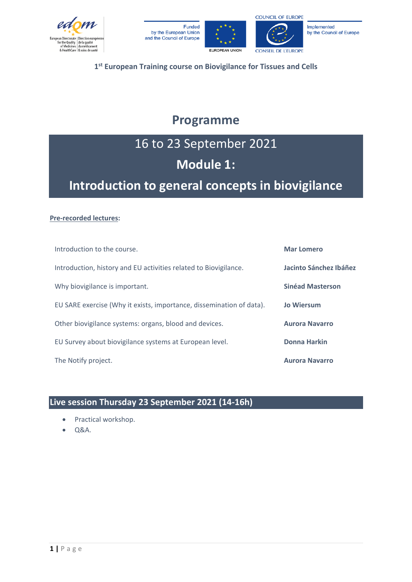







**1st European Training course on Biovigilance for Tissues and Cells**

## **Programme**

### 16 to 23 September 2021

### **Module 1:**

## **Introduction to general concepts in biovigilance**

#### **Pre-recorded lectures:**

| Introduction to the course.                                          | <b>Mar Lomero</b>       |
|----------------------------------------------------------------------|-------------------------|
| Introduction, history and EU activities related to Biovigilance.     | Jacinto Sánchez Ibáñez  |
| Why biovigilance is important.                                       | <b>Sinéad Masterson</b> |
| EU SARE exercise (Why it exists, importance, dissemination of data). | <b>Jo Wiersum</b>       |
| Other biovigilance systems: organs, blood and devices.               | <b>Aurora Navarro</b>   |
| EU Survey about biovigilance systems at European level.              | Donna Harkin            |
| The Notify project.                                                  | <b>Aurora Navarro</b>   |

### **Live session Thursday 23 September 2021 (14-16h)**

- Practical workshop.
- Q&A.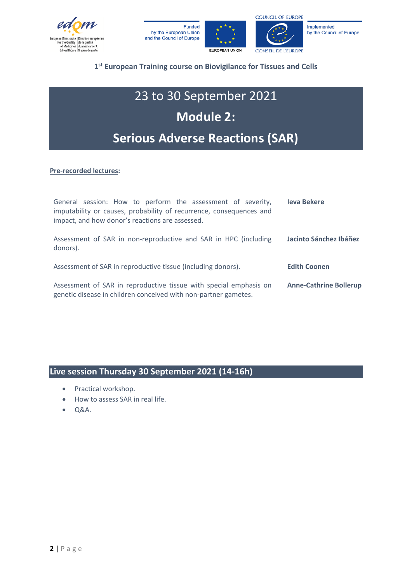







#### **1st European Training course on Biovigilance for Tissues and Cells**

## 23 to 30 September 2021 **Module 2: Serious Adverse Reactions (SAR)**

**Pre-recorded lectures:**

| General session: How to perform the assessment of severity,<br>imputability or causes, probability of recurrence, consequences and<br>impact, and how donor's reactions are assessed. | <b>Ieva Bekere</b>            |
|---------------------------------------------------------------------------------------------------------------------------------------------------------------------------------------|-------------------------------|
| Assessment of SAR in non-reproductive and SAR in HPC (including<br>donors).                                                                                                           | Jacinto Sánchez Ibáñez        |
| Assessment of SAR in reproductive tissue (including donors).                                                                                                                          | <b>Edith Coonen</b>           |
| Assessment of SAR in reproductive tissue with special emphasis on<br>genetic disease in children conceived with non-partner gametes.                                                  | <b>Anne-Cathrine Bollerup</b> |

#### **Live session Thursday 30 September 2021 (14-16h)**

- Practical workshop.
- How to assess SAR in real life.
- Q&A.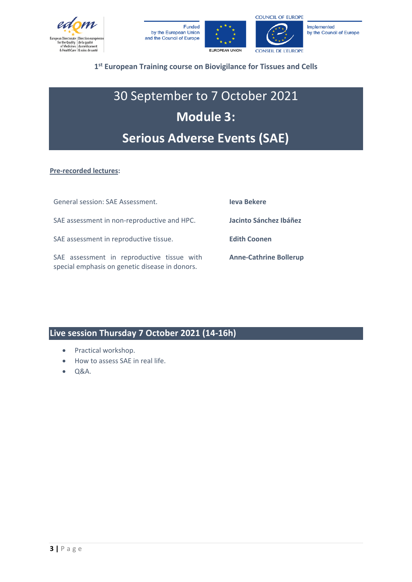







#### **1st European Training course on Biovigilance for Tissues and Cells**

## 30 September to 7 October 2021 **Module 3: Serious Adverse Events (SAE)**

#### **Pre-recorded lectures:**

| General session: SAE Assessment.                                                             | <b>leva Bekere</b>            |
|----------------------------------------------------------------------------------------------|-------------------------------|
| SAE assessment in non-reproductive and HPC.                                                  | Jacinto Sánchez Ibáñez        |
| SAE assessment in reproductive tissue.                                                       | <b>Edith Coonen</b>           |
| SAE assessment in reproductive tissue with<br>special emphasis on genetic disease in donors. | <b>Anne-Cathrine Bollerup</b> |

#### **Live session Thursday 7 October 2021 (14-16h)**

- Practical workshop.
- How to assess SAE in real life.
- Q&A.